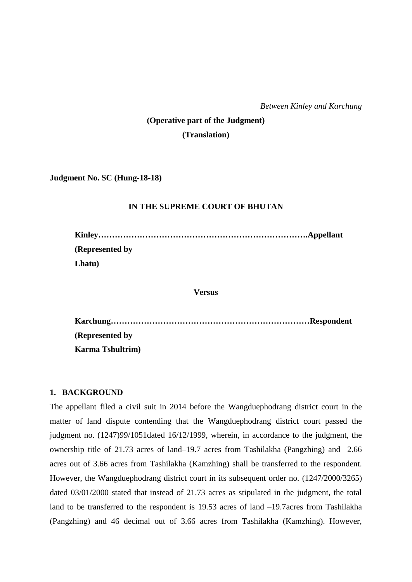*Between Kinley and Karchung*

# **(Operative part of the Judgment) (Translation)**

**Judgment No. SC (Hung-18-18)**

### **IN THE SUPREME COURT OF BHUTAN**

| (Represented by) |  |
|------------------|--|
| Lhatu)           |  |

**Versus**

**Karchung………………………………………………………………Respondent (Represented by Karma Tshultrim)**

### **1. BACKGROUND**

The appellant filed a civil suit in 2014 before the Wangduephodrang district court in the matter of land dispute contending that the Wangduephodrang district court passed the judgment no. (1247)99/1051dated 16/12/1999, wherein, in accordance to the judgment, the ownership title of 21.73 acres of land–19.7 acres from Tashilakha (Pangzhing) and 2.66 acres out of 3.66 acres from Tashilakha (Kamzhing) shall be transferred to the respondent. However, the Wangduephodrang district court in its subsequent order no. (1247/2000/3265) dated 03/01/2000 stated that instead of 21.73 acres as stipulated in the judgment, the total land to be transferred to the respondent is 19.53 acres of land  $-19.7$  acres from Tashilakha (Pangzhing) and 46 decimal out of 3.66 acres from Tashilakha (Kamzhing). However,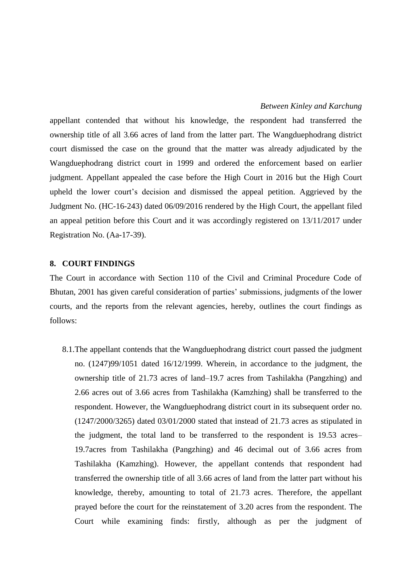appellant contended that without his knowledge, the respondent had transferred the ownership title of all 3.66 acres of land from the latter part. The Wangduephodrang district court dismissed the case on the ground that the matter was already adjudicated by the Wangduephodrang district court in 1999 and ordered the enforcement based on earlier judgment. Appellant appealed the case before the High Court in 2016 but the High Court upheld the lower court's decision and dismissed the appeal petition. Aggrieved by the Judgment No. (HC-16-243) dated 06/09/2016 rendered by the High Court, the appellant filed an appeal petition before this Court and it was accordingly registered on 13/11/2017 under Registration No. (Aa-17-39).

#### **8. COURT FINDINGS**

The Court in accordance with Section 110 of the Civil and Criminal Procedure Code of Bhutan, 2001 has given careful consideration of parties' submissions, judgments of the lower courts, and the reports from the relevant agencies, hereby, outlines the court findings as follows:

8.1.The appellant contends that the Wangduephodrang district court passed the judgment no. (1247)99/1051 dated 16/12/1999. Wherein, in accordance to the judgment, the ownership title of 21.73 acres of land–19.7 acres from Tashilakha (Pangzhing) and 2.66 acres out of 3.66 acres from Tashilakha (Kamzhing) shall be transferred to the respondent. However, the Wangduephodrang district court in its subsequent order no. (1247/2000/3265) dated 03/01/2000 stated that instead of 21.73 acres as stipulated in the judgment, the total land to be transferred to the respondent is 19.53 acres– 19.7acres from Tashilakha (Pangzhing) and 46 decimal out of 3.66 acres from Tashilakha (Kamzhing). However, the appellant contends that respondent had transferred the ownership title of all 3.66 acres of land from the latter part without his knowledge, thereby, amounting to total of 21.73 acres. Therefore, the appellant prayed before the court for the reinstatement of 3.20 acres from the respondent. The Court while examining finds: firstly, although as per the judgment of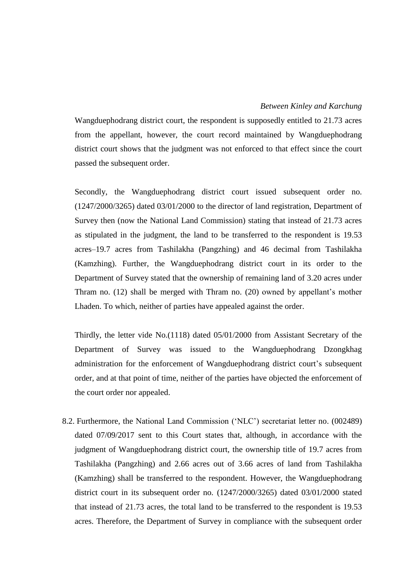#### *Between Kinley and Karchung*

Wangduephodrang district court, the respondent is supposedly entitled to 21.73 acres from the appellant, however, the court record maintained by Wangduephodrang district court shows that the judgment was not enforced to that effect since the court passed the subsequent order.

Secondly, the Wangduephodrang district court issued subsequent order no. (1247/2000/3265) dated 03/01/2000 to the director of land registration, Department of Survey then (now the National Land Commission) stating that instead of 21.73 acres as stipulated in the judgment, the land to be transferred to the respondent is 19.53 acres–19.7 acres from Tashilakha (Pangzhing) and 46 decimal from Tashilakha (Kamzhing). Further, the Wangduephodrang district court in its order to the Department of Survey stated that the ownership of remaining land of 3.20 acres under Thram no. (12) shall be merged with Thram no. (20) owned by appellant's mother Lhaden. To which, neither of parties have appealed against the order.

Thirdly, the letter vide No.(1118) dated 05/01/2000 from Assistant Secretary of the Department of Survey was issued to the Wangduephodrang Dzongkhag administration for the enforcement of Wangduephodrang district court's subsequent order, and at that point of time, neither of the parties have objected the enforcement of the court order nor appealed.

8.2. Furthermore, the National Land Commission ('NLC') secretariat letter no. (002489) dated 07/09/2017 sent to this Court states that, although, in accordance with the judgment of Wangduephodrang district court, the ownership title of 19.7 acres from Tashilakha (Pangzhing) and 2.66 acres out of 3.66 acres of land from Tashilakha (Kamzhing) shall be transferred to the respondent. However, the Wangduephodrang district court in its subsequent order no. (1247/2000/3265) dated 03/01/2000 stated that instead of 21.73 acres, the total land to be transferred to the respondent is 19.53 acres. Therefore, the Department of Survey in compliance with the subsequent order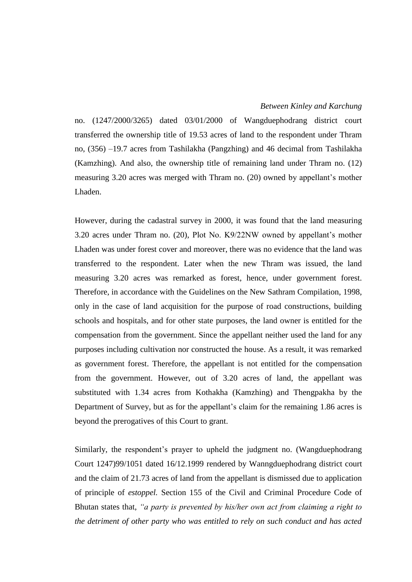no. (1247/2000/3265) dated 03/01/2000 of Wangduephodrang district court transferred the ownership title of 19.53 acres of land to the respondent under Thram no, (356) –19.7 acres from Tashilakha (Pangzhing) and 46 decimal from Tashilakha (Kamzhing). And also, the ownership title of remaining land under Thram no. (12) measuring 3.20 acres was merged with Thram no. (20) owned by appellant's mother Lhaden.

However, during the cadastral survey in 2000, it was found that the land measuring 3.20 acres under Thram no. (20), Plot No. K9/22NW owned by appellant's mother Lhaden was under forest cover and moreover, there was no evidence that the land was transferred to the respondent. Later when the new Thram was issued, the land measuring 3.20 acres was remarked as forest, hence, under government forest. Therefore, in accordance with the Guidelines on the New Sathram Compilation, 1998, only in the case of land acquisition for the purpose of road constructions, building schools and hospitals, and for other state purposes, the land owner is entitled for the compensation from the government. Since the appellant neither used the land for any purposes including cultivation nor constructed the house. As a result, it was remarked as government forest. Therefore, the appellant is not entitled for the compensation from the government. However, out of 3.20 acres of land, the appellant was substituted with 1.34 acres from Kothakha (Kamzhing) and Thengpakha by the Department of Survey, but as for the appellant's claim for the remaining 1.86 acres is beyond the prerogatives of this Court to grant.

Similarly, the respondent's prayer to upheld the judgment no. (Wangduephodrang Court 1247)99/1051 dated 16/12.1999 rendered by Wanngduephodrang district court and the claim of 21.73 acres of land from the appellant is dismissed due to application of principle of *estoppel.* Section 155 of the Civil and Criminal Procedure Code of Bhutan states that, *"a party is prevented by his/her own act from claiming a right to the detriment of other party who was entitled to rely on such conduct and has acted*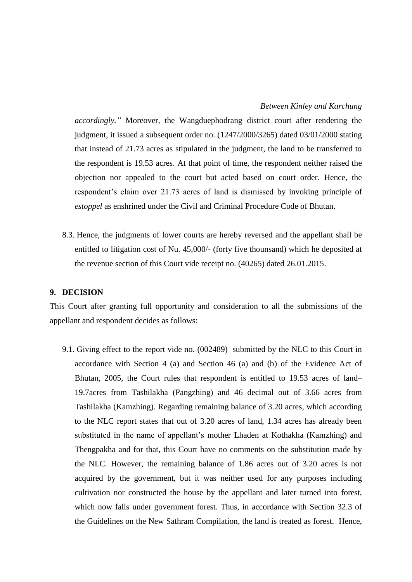*accordingly."* Moreover, the Wangduephodrang district court after rendering the judgment, it issued a subsequent order no. (1247/2000/3265) dated 03/01/2000 stating that instead of 21.73 acres as stipulated in the judgment, the land to be transferred to the respondent is 19.53 acres. At that point of time, the respondent neither raised the objection nor appealed to the court but acted based on court order. Hence, the respondent's claim over 21.73 acres of land is dismissed by invoking principle of *estoppel* as enshrined under the Civil and Criminal Procedure Code of Bhutan.

8.3. Hence, the judgments of lower courts are hereby reversed and the appellant shall be entitled to litigation cost of Nu. 45,000/- (forty five thounsand) which he deposited at the revenue section of this Court vide receipt no. (40265) dated 26.01.2015.

### **9. DECISION**

This Court after granting full opportunity and consideration to all the submissions of the appellant and respondent decides as follows:

9.1. Giving effect to the report vide no. (002489) submitted by the NLC to this Court in accordance with Section 4 (a) and Section 46 (a) and (b) of the Evidence Act of Bhutan, 2005, the Court rules that respondent is entitled to 19.53 acres of land– 19.7acres from Tashilakha (Pangzhing) and 46 decimal out of 3.66 acres from Tashilakha (Kamzhing). Regarding remaining balance of 3.20 acres, which according to the NLC report states that out of 3.20 acres of land, 1.34 acres has already been substituted in the name of appellant's mother Lhaden at Kothakha (Kamzhing) and Thengpakha and for that, this Court have no comments on the substitution made by the NLC. However, the remaining balance of 1.86 acres out of 3.20 acres is not acquired by the government, but it was neither used for any purposes including cultivation nor constructed the house by the appellant and later turned into forest, which now falls under government forest. Thus, in accordance with Section 32.3 of the Guidelines on the New Sathram Compilation, the land is treated as forest. Hence,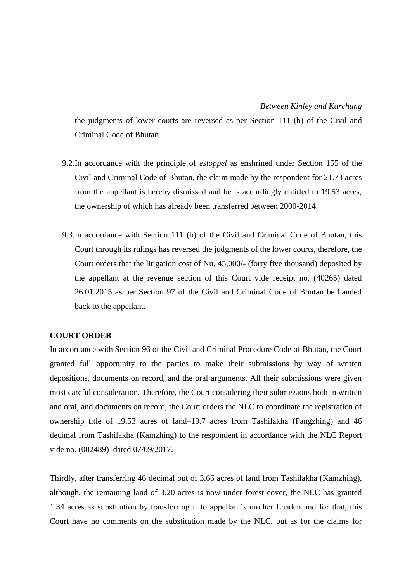the judgments of lower courts are reversed as per Section 111 (b) of the Civil and Criminal Code of Bhutan.

- 9.2.In accordance with the principle of *estoppel* as enshrined under Section 155 of the Civil and Criminal Code of Bhutan, the claim made by the respondent for 21.73 acres from the appellant is hereby dismissed and he is accordingly entitled to 19.53 acres, the ownership of which has already been transferred between 2000-2014.
- 9.3.In accordance with Section 111 (b) of the Civil and Criminal Code of Bhutan, this Court through its rulings has reversed the judgments of the lower courts, therefore, the Court orders that the litigation cost of Nu. 45,000/- (forty five thousand) deposited by the appellant at the revenue section of this Court vide receipt no. (40265) dated 26.01.2015 as per Section 97 of the Civil and Criminal Code of Bhutan be handed back to the appellant.

#### **COURT ORDER**

In accordance with Section 96 of the Civil and Criminal Procedure Code of Bhutan, the Court granted full opportunity to the parties to make their submissions by way of written depositions, documents on record, and the oral arguments. All their submissions were given most careful consideration. Therefore, the Court considering their submissions both in written and oral, and documents on record, the Court orders the NLC to coordinate the registration of ownership title of 19.53 acres of land–19.7 acres from Tashilakha (Pangzhing) and 46 decimal from Tashilakha (Kamzhing) to the respondent in accordance with the NLC Report vide no. (002489) dated 07/09/2017.

Thirdly, after transferring 46 decimal out of 3.66 acres of land from Tashilakha (Kamzhing), although, the remaining land of 3.20 acres is now under forest cover, the NLC has granted 1.34 acres as substitution by transferring it to appellant's mother Lhaden and for that, this Court have no comments on the substitution made by the NLC, but as for the claims for